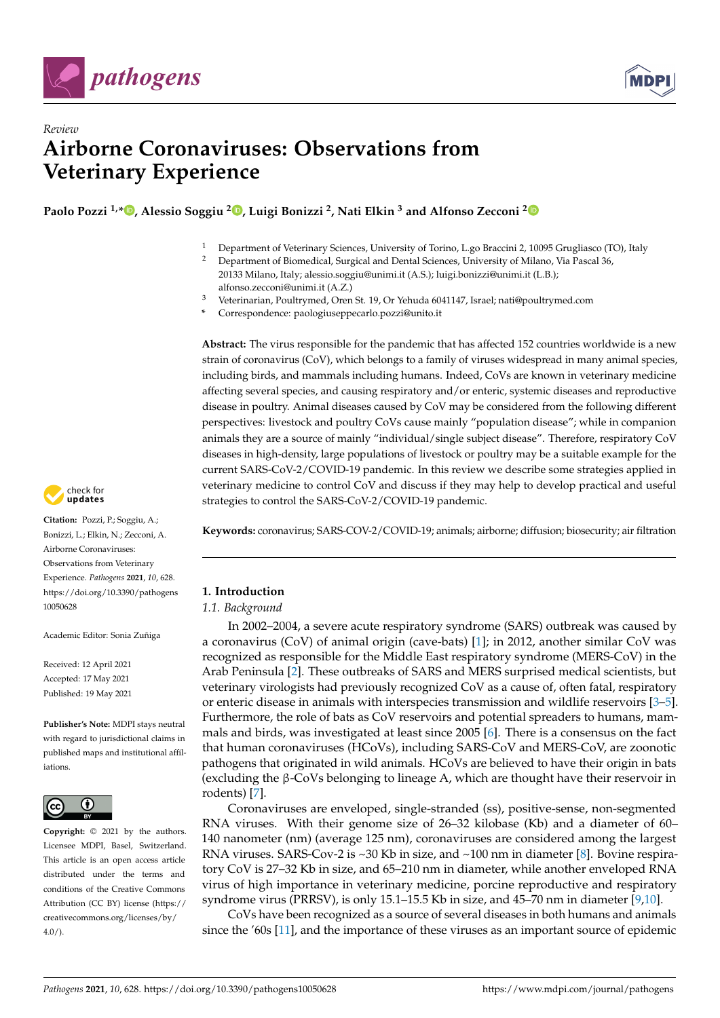



# *Review* **Airborne Coronaviruses: Observations from Veterinary Experience**

**Paolo Pozzi 1,\* [,](https://orcid.org/0000-0002-0228-2537) Alessio Soggiu <sup>2</sup> [,](https://orcid.org/0000-0001-7680-6068) Luigi Bonizzi <sup>2</sup> , Nati Elkin <sup>3</sup> and Alfonso Zecconi [2](https://orcid.org/0000-0002-3127-8385)**

- <sup>1</sup> Department of Veterinary Sciences, University of Torino, L.go Braccini 2, 10095 Grugliasco (TO), Italy<br><sup>2</sup> Department of Biomadical Survivel and Dantal Sciences, University of Milano, Via Bassal 26
	- <sup>2</sup> Department of Biomedical, Surgical and Dental Sciences, University of Milano, Via Pascal 36, 20133 Milano, Italy; alessio.soggiu@unimi.it (A.S.); luigi.bonizzi@unimi.it (L.B.); alfonso.zecconi@unimi.it (A.Z.)
- <sup>3</sup> Veterinarian, Poultrymed, Oren St. 19, Or Yehuda 6041147, Israel; nati@poultrymed.com
- **\*** Correspondence: paologiuseppecarlo.pozzi@unito.it

**Abstract:** The virus responsible for the pandemic that has affected 152 countries worldwide is a new strain of coronavirus (CoV), which belongs to a family of viruses widespread in many animal species, including birds, and mammals including humans. Indeed, CoVs are known in veterinary medicine affecting several species, and causing respiratory and/or enteric, systemic diseases and reproductive disease in poultry. Animal diseases caused by CoV may be considered from the following different perspectives: livestock and poultry CoVs cause mainly "population disease"; while in companion animals they are a source of mainly "individual/single subject disease". Therefore, respiratory CoV diseases in high-density, large populations of livestock or poultry may be a suitable example for the current SARS-CoV-2/COVID-19 pandemic. In this review we describe some strategies applied in veterinary medicine to control CoV and discuss if they may help to develop practical and useful strategies to control the SARS-CoV-2/COVID-19 pandemic.

**Keywords:** coronavirus; SARS-COV-2/COVID-19; animals; airborne; diffusion; biosecurity; air filtration

# **1. Introduction**

# *1.1. Background*

In 2002–2004, a severe acute respiratory syndrome (SARS) outbreak was caused by a coronavirus (CoV) of animal origin (cave-bats) [\[1\]](#page-10-0); in 2012, another similar CoV was recognized as responsible for the Middle East respiratory syndrome (MERS-CoV) in the Arab Peninsula [\[2\]](#page-10-1). These outbreaks of SARS and MERS surprised medical scientists, but veterinary virologists had previously recognized CoV as a cause of, often fatal, respiratory or enteric disease in animals with interspecies transmission and wildlife reservoirs [\[3](#page-10-2)[–5\]](#page-10-3). Furthermore, the role of bats as CoV reservoirs and potential spreaders to humans, mammals and birds, was investigated at least since 2005 [\[6\]](#page-10-4). There is a consensus on the fact that human coronaviruses (HCoVs), including SARS-CoV and MERS-CoV, are zoonotic pathogens that originated in wild animals. HCoVs are believed to have their origin in bats (excluding the β-CoVs belonging to lineage A, which are thought have their reservoir in rodents) [\[7\]](#page-10-5).

Coronaviruses are enveloped, single-stranded (ss), positive-sense, non-segmented RNA viruses. With their genome size of 26–32 kilobase (Kb) and a diameter of 60– 140 nanometer (nm) (average 125 nm), coronaviruses are considered among the largest RNA viruses. SARS-Cov-2 is  $\sim$ 30 Kb in size, and  $\sim$ 100 nm in diameter [\[8\]](#page-10-6). Bovine respiratory CoV is 27–32 Kb in size, and 65–210 nm in diameter, while another enveloped RNA virus of high importance in veterinary medicine, porcine reproductive and respiratory syndrome virus (PRRSV), is only 15.1–15.5 Kb in size, and 45–70 nm in diameter [\[9](#page-10-7)[,10\]](#page-10-8).

CoVs have been recognized as a source of several diseases in both humans and animals since the '60s [\[11\]](#page-10-9), and the importance of these viruses as an important source of epidemic



**Citation:** Pozzi, P.; Soggiu, A.; Bonizzi, L.; Elkin, N.; Zecconi, A. Airborne Coronaviruses: Observations from Veterinary Experience. *Pathogens* **2021**, *10*, 628. [https://doi.org/10.3390/pathogens](https://doi.org/10.3390/pathogens10050628) [10050628](https://doi.org/10.3390/pathogens10050628)

Academic Editor: Sonia Zuñiga

Received: 12 April 2021 Accepted: 17 May 2021 Published: 19 May 2021

**Publisher's Note:** MDPI stays neutral with regard to jurisdictional claims in published maps and institutional affiliations.



**Copyright:** © 2021 by the authors. Licensee MDPI, Basel, Switzerland. This article is an open access article distributed under the terms and conditions of the Creative Commons Attribution (CC BY) license (https:/[/](https://creativecommons.org/licenses/by/4.0/) [creativecommons.org/licenses/by/](https://creativecommons.org/licenses/by/4.0/)  $4.0/$ ).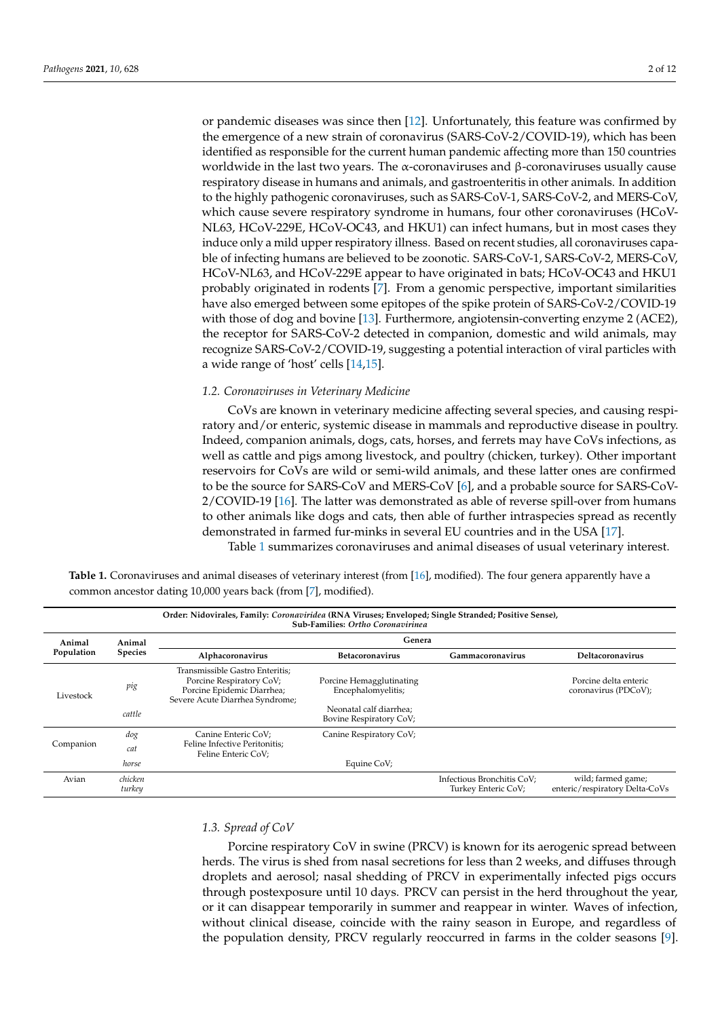or pandemic diseases was since then [\[12\]](#page-10-10). Unfortunately, this feature was confirmed by the emergence of a new strain of coronavirus (SARS-CoV-2/COVID-19), which has been identified as responsible for the current human pandemic affecting more than 150 countries worldwide in the last two years. The α-coronaviruses and β-coronaviruses usually cause respiratory disease in humans and animals, and gastroenteritis in other animals. In addition to the highly pathogenic coronaviruses, such as SARS-CoV-1, SARS-CoV-2, and MERS-CoV, which cause severe respiratory syndrome in humans, four other coronaviruses (HCoV-NL63, HCoV-229E, HCoV-OC43, and HKU1) can infect humans, but in most cases they induce only a mild upper respiratory illness. Based on recent studies, all coronaviruses capable of infecting humans are believed to be zoonotic. SARS-CoV-1, SARS-CoV-2, MERS-CoV, HCoV-NL63, and HCoV-229E appear to have originated in bats; HCoV-OC43 and HKU1 probably originated in rodents [\[7\]](#page-10-5). From a genomic perspective, important similarities have also emerged between some epitopes of the spike protein of SARS-CoV-2/COVID-19 with those of dog and bovine [\[13\]](#page-10-11). Furthermore, angiotensin-converting enzyme 2 (ACE2), the receptor for SARS-CoV-2 detected in companion, domestic and wild animals, may recognize SARS-CoV-2/COVID-19, suggesting a potential interaction of viral particles with a wide range of 'host' cells [\[14](#page-10-12)[,15\]](#page-10-13).

# *1.2. Coronaviruses in Veterinary Medicine*

CoVs are known in veterinary medicine affecting several species, and causing respiratory and/or enteric, systemic disease in mammals and reproductive disease in poultry. Indeed, companion animals, dogs, cats, horses, and ferrets may have CoVs infections, as well as cattle and pigs among livestock, and poultry (chicken, turkey). Other important reservoirs for CoVs are wild or semi-wild animals, and these latter ones are confirmed to be the source for SARS-CoV and MERS-CoV [\[6\]](#page-10-4), and a probable source for SARS-CoV-2/COVID-19 [\[16\]](#page-10-14). The latter was demonstrated as able of reverse spill-over from humans to other animals like dogs and cats, then able of further intraspecies spread as recently demonstrated in farmed fur-minks in several EU countries and in the USA [\[17\]](#page-10-15).

Table [1](#page-1-0) summarizes coronaviruses and animal diseases of usual veterinary interest.

<span id="page-1-0"></span>**Table 1.** Coronaviruses and animal diseases of veterinary interest (from [\[16\]](#page-10-14), modified). The four genera apparently have a common ancestor dating 10,000 years back (from [\[7\]](#page-10-5), modified).

| Order: Nidovirales, Family: Coronaviridea (RNA Viruses; Enveloped; Single Stranded; Positive Sense),<br><b>Sub-Families: Ortho Coronavirinea</b> |                   |                                                                                                                              |                                                    |                                                   |                                                      |  |  |  |
|--------------------------------------------------------------------------------------------------------------------------------------------------|-------------------|------------------------------------------------------------------------------------------------------------------------------|----------------------------------------------------|---------------------------------------------------|------------------------------------------------------|--|--|--|
| Animal<br>Population                                                                                                                             | Animal<br>Species | Genera                                                                                                                       |                                                    |                                                   |                                                      |  |  |  |
|                                                                                                                                                  |                   | Alphacoronavirus                                                                                                             | <b>Betacoronavirus</b>                             | Gammacoronavirus                                  | Deltacoronavirus                                     |  |  |  |
| Livestock                                                                                                                                        | pig               | Transmissible Gastro Enteritis;<br>Porcine Respiratory CoV;<br>Porcine Epidemic Diarrhea;<br>Severe Acute Diarrhea Syndrome; | Porcine Hemagglutinating<br>Encephalomyelitis;     |                                                   | Porcine delta enteric<br>coronavirus (PDCoV);        |  |  |  |
|                                                                                                                                                  | cattle            |                                                                                                                              | Neonatal calf diarrhea;<br>Bovine Respiratory CoV; |                                                   |                                                      |  |  |  |
| Companion                                                                                                                                        | dog               | Canine Enteric CoV;                                                                                                          | Canine Respiratory CoV;                            |                                                   |                                                      |  |  |  |
|                                                                                                                                                  | cat               | Feline Infective Peritonitis;<br>Feline Enteric CoV:                                                                         |                                                    |                                                   |                                                      |  |  |  |
|                                                                                                                                                  | horse             |                                                                                                                              | Equine CoV;                                        |                                                   |                                                      |  |  |  |
| Avian                                                                                                                                            | chicken<br>turkey |                                                                                                                              |                                                    | Infectious Bronchitis CoV;<br>Turkey Enteric CoV; | wild; farmed game;<br>enteric/respiratory Delta-CoVs |  |  |  |

# *1.3. Spread of CoV*

Porcine respiratory CoV in swine (PRCV) is known for its aerogenic spread between herds. The virus is shed from nasal secretions for less than 2 weeks, and diffuses through droplets and aerosol; nasal shedding of PRCV in experimentally infected pigs occurs through postexposure until 10 days. PRCV can persist in the herd throughout the year, or it can disappear temporarily in summer and reappear in winter. Waves of infection, without clinical disease, coincide with the rainy season in Europe, and regardless of the population density, PRCV regularly reoccurred in farms in the colder seasons [\[9\]](#page-10-7).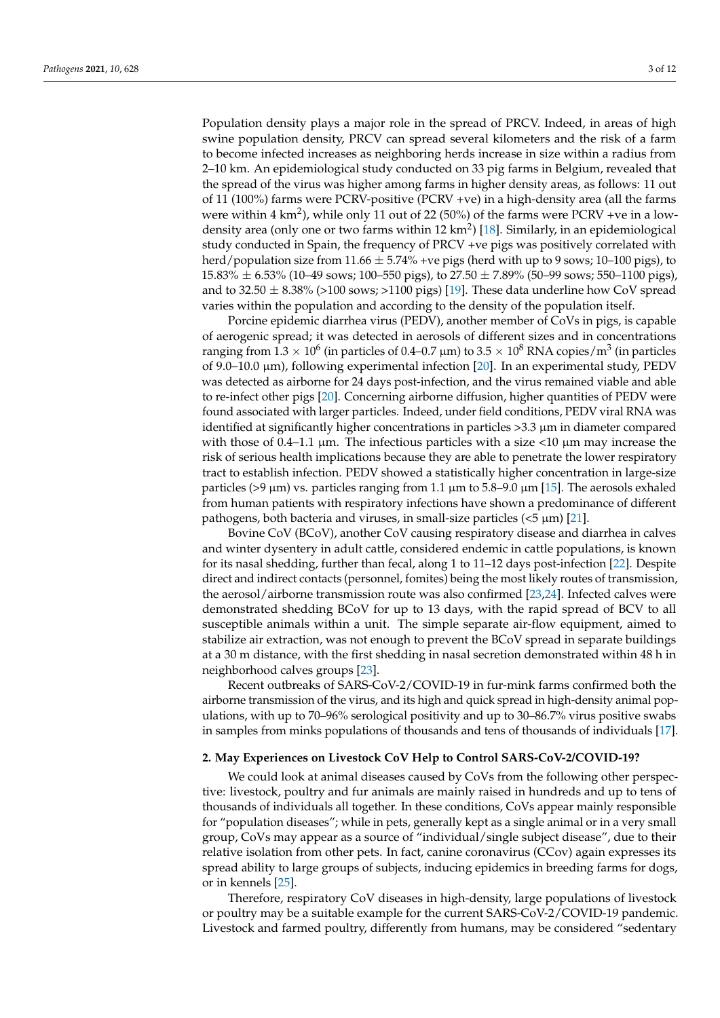Population density plays a major role in the spread of PRCV. Indeed, in areas of high swine population density, PRCV can spread several kilometers and the risk of a farm to become infected increases as neighboring herds increase in size within a radius from 2–10 km. An epidemiological study conducted on 33 pig farms in Belgium, revealed that the spread of the virus was higher among farms in higher density areas, as follows: 11 out of 11 (100%) farms were PCRV-positive (PCRV +ve) in a high-density area (all the farms were within 4 km<sup>2</sup>), while only 11 out of 22 (50%) of the farms were PCRV +ve in a low-density area (only one or two farms within 12 km<sup>2</sup>) [\[18\]](#page-10-16). Similarly, in an epidemiological study conducted in Spain, the frequency of PRCV +ve pigs was positively correlated with herd/population size from  $11.66 \pm 5.74\%$  +ve pigs (herd with up to 9 sows; 10–100 pigs), to  $15.83\% \pm 6.53\%$  (10–49 sows; 100–550 pigs), to  $27.50 \pm 7.89\%$  (50–99 sows; 550–1100 pigs), and to 32.50  $\pm$  8.38% (>100 sows; >1100 pigs) [\[19\]](#page-10-17). These data underline how CoV spread varies within the population and according to the density of the population itself.

Porcine epidemic diarrhea virus (PEDV), another member of CoVs in pigs, is capable of aerogenic spread; it was detected in aerosols of different sizes and in concentrations ranging from 1.3  $\times$  10 $^{6}$  (in particles of 0.4–0.7 µm) to 3.5  $\times$  10 $^{8}$  RNA copies/m $^{3}$  (in particles of 9.0–10.0  $\mu$ m), following experimental infection [\[20\]](#page-10-18). In an experimental study, PEDV was detected as airborne for 24 days post-infection, and the virus remained viable and able to re-infect other pigs [\[20\]](#page-10-18). Concerning airborne diffusion, higher quantities of PEDV were found associated with larger particles. Indeed, under field conditions, PEDV viral RNA was identified at significantly higher concentrations in particles >3.3 µm in diameter compared with those of  $0.4-1.1 \mu m$ . The infectious particles with a size  $\langle 10 \mu m \rangle$  may increase the risk of serious health implications because they are able to penetrate the lower respiratory tract to establish infection. PEDV showed a statistically higher concentration in large-size particles (>9  $\mu$ m) vs. particles ranging from 1.1  $\mu$ m to 5.8–9.0  $\mu$ m [\[15\]](#page-10-13). The aerosols exhaled from human patients with respiratory infections have shown a predominance of different pathogens, both bacteria and viruses, in small-size particles  $(<5 \mu m)$  [\[21\]](#page-10-19).

Bovine CoV (BCoV), another CoV causing respiratory disease and diarrhea in calves and winter dysentery in adult cattle, considered endemic in cattle populations, is known for its nasal shedding, further than fecal, along 1 to 11–12 days post-infection [\[22\]](#page-10-20). Despite direct and indirect contacts (personnel, fomites) being the most likely routes of transmission, the aerosol/airborne transmission route was also confirmed [\[23,](#page-10-21)[24\]](#page-10-22). Infected calves were demonstrated shedding BCoV for up to 13 days, with the rapid spread of BCV to all susceptible animals within a unit. The simple separate air-flow equipment, aimed to stabilize air extraction, was not enough to prevent the BCoV spread in separate buildings at a 30 m distance, with the first shedding in nasal secretion demonstrated within 48 h in neighborhood calves groups [\[23\]](#page-10-21).

Recent outbreaks of SARS-CoV-2/COVID-19 in fur-mink farms confirmed both the airborne transmission of the virus, and its high and quick spread in high-density animal populations, with up to 70–96% serological positivity and up to 30–86.7% virus positive swabs in samples from minks populations of thousands and tens of thousands of individuals [\[17\]](#page-10-15).

# **2. May Experiences on Livestock CoV Help to Control SARS-CoV-2/COVID-19?**

We could look at animal diseases caused by CoVs from the following other perspective: livestock, poultry and fur animals are mainly raised in hundreds and up to tens of thousands of individuals all together. In these conditions, CoVs appear mainly responsible for "population diseases"; while in pets, generally kept as a single animal or in a very small group, CoVs may appear as a source of "individual/single subject disease", due to their relative isolation from other pets. In fact, canine coronavirus (CCov) again expresses its spread ability to large groups of subjects, inducing epidemics in breeding farms for dogs, or in kennels [\[25\]](#page-10-23).

Therefore, respiratory CoV diseases in high-density, large populations of livestock or poultry may be a suitable example for the current SARS-CoV-2/COVID-19 pandemic. Livestock and farmed poultry, differently from humans, may be considered "sedentary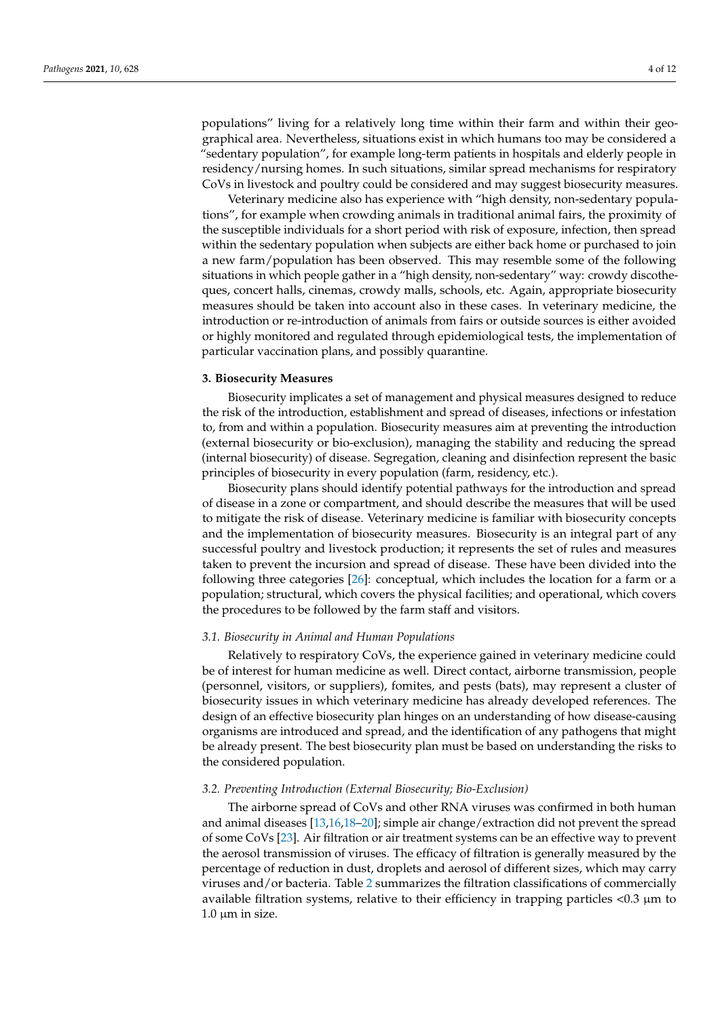populations" living for a relatively long time within their farm and within their geographical area. Nevertheless, situations exist in which humans too may be considered a "sedentary population", for example long-term patients in hospitals and elderly people in

CoVs in livestock and poultry could be considered and may suggest biosecurity measures. Veterinary medicine also has experience with "high density, non-sedentary populations", for example when crowding animals in traditional animal fairs, the proximity of the susceptible individuals for a short period with risk of exposure, infection, then spread within the sedentary population when subjects are either back home or purchased to join a new farm/population has been observed. This may resemble some of the following situations in which people gather in a "high density, non-sedentary" way: crowdy discotheques, concert halls, cinemas, crowdy malls, schools, etc. Again, appropriate biosecurity measures should be taken into account also in these cases. In veterinary medicine, the introduction or re-introduction of animals from fairs or outside sources is either avoided or highly monitored and regulated through epidemiological tests, the implementation of particular vaccination plans, and possibly quarantine.

residency/nursing homes. In such situations, similar spread mechanisms for respiratory

#### **3. Biosecurity Measures**

Biosecurity implicates a set of management and physical measures designed to reduce the risk of the introduction, establishment and spread of diseases, infections or infestation to, from and within a population. Biosecurity measures aim at preventing the introduction (external biosecurity or bio-exclusion), managing the stability and reducing the spread (internal biosecurity) of disease. Segregation, cleaning and disinfection represent the basic principles of biosecurity in every population (farm, residency, etc.).

Biosecurity plans should identify potential pathways for the introduction and spread of disease in a zone or compartment, and should describe the measures that will be used to mitigate the risk of disease. Veterinary medicine is familiar with biosecurity concepts and the implementation of biosecurity measures. Biosecurity is an integral part of any successful poultry and livestock production; it represents the set of rules and measures taken to prevent the incursion and spread of disease. These have been divided into the following three categories [\[26\]](#page-10-24): conceptual, which includes the location for a farm or a population; structural, which covers the physical facilities; and operational, which covers the procedures to be followed by the farm staff and visitors.

#### *3.1. Biosecurity in Animal and Human Populations*

Relatively to respiratory CoVs, the experience gained in veterinary medicine could be of interest for human medicine as well. Direct contact, airborne transmission, people (personnel, visitors, or suppliers), fomites, and pests (bats), may represent a cluster of biosecurity issues in which veterinary medicine has already developed references. The design of an effective biosecurity plan hinges on an understanding of how disease-causing organisms are introduced and spread, and the identification of any pathogens that might be already present. The best biosecurity plan must be based on understanding the risks to the considered population.

#### *3.2. Preventing Introduction (External Biosecurity; Bio-Exclusion)*

The airborne spread of CoVs and other RNA viruses was confirmed in both human and animal diseases [\[13](#page-10-11)[,16](#page-10-14)[,18](#page-10-16)[–20\]](#page-10-18); simple air change/extraction did not prevent the spread of some CoVs [\[23\]](#page-10-21). Air filtration or air treatment systems can be an effective way to prevent the aerosol transmission of viruses. The efficacy of filtration is generally measured by the percentage of reduction in dust, droplets and aerosol of different sizes, which may carry viruses and/or bacteria. Table [2](#page-4-0) summarizes the filtration classifications of commercially available filtration systems, relative to their efficiency in trapping particles  $\langle 0.3 \rangle$  µm to  $1.0 \mu m$  in size.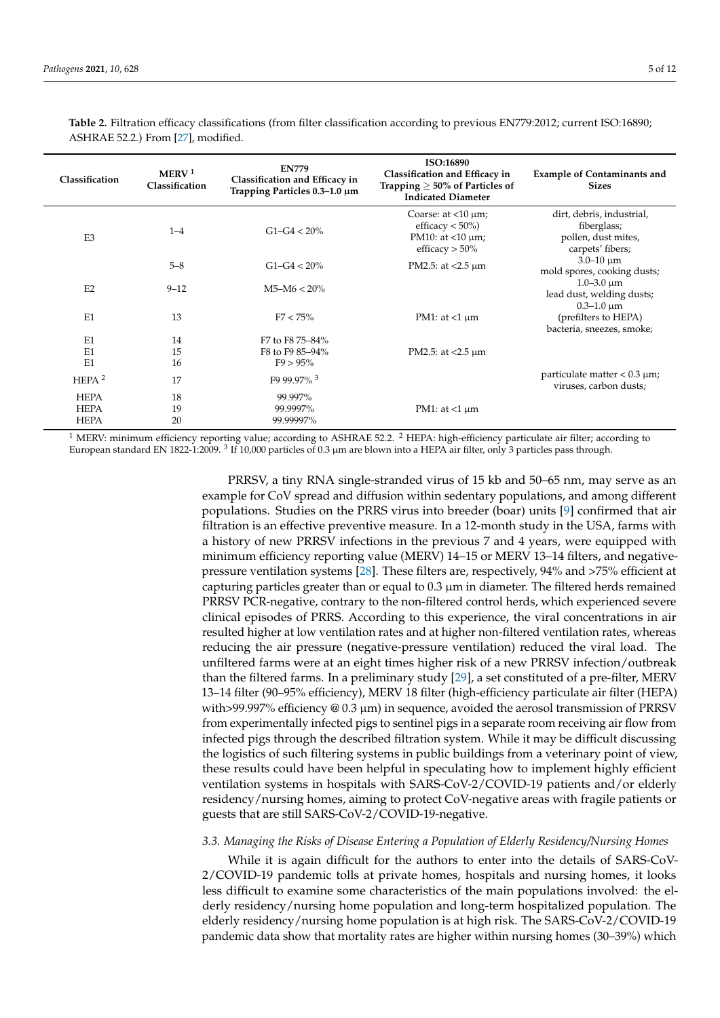| Classification                            | MERV <sup>1</sup><br>Classification | <b>EN779</b><br>Classification and Efficacy in<br>Trapping Particles $0.3-1.0 \mu m$ | ISO:16890<br>Classification and Efficacy in<br>Trapping $\geq 50\%$ of Particles of<br><b>Indicated Diameter</b> | <b>Example of Contaminants and</b><br><b>Sizes</b>                                  |
|-------------------------------------------|-------------------------------------|--------------------------------------------------------------------------------------|------------------------------------------------------------------------------------------------------------------|-------------------------------------------------------------------------------------|
| E <sub>3</sub>                            | $1 - 4$                             | $G1-G4 < 20\%$                                                                       | Coarse: at $\langle 10 \mu m \rangle$<br>efficacy $< 50\%$ )<br>PM10: at $<$ 10 $\mu$ m;<br>efficacy $> 50\%$    | dirt, debris, industrial,<br>fiberglass;<br>pollen, dust mites,<br>carpets' fibers; |
|                                           | $5 - 8$                             | $G1 - G4 < 20\%$                                                                     | PM2.5: at $<$ 2.5 $\mu$ m                                                                                        | $3.0 - 10 \mu m$<br>mold spores, cooking dusts;                                     |
| E2                                        | $9 - 12$                            | $M5-M6 < 20\%$                                                                       |                                                                                                                  | $1.0 - 3.0 \mu m$<br>lead dust, welding dusts;<br>$0.3 - 1.0 \mu m$                 |
| E1                                        | 13                                  | $F7 < 75\%$                                                                          | PM1: at $<$ 1 $\mu$ m                                                                                            | (prefilters to HEPA)                                                                |
| E1<br>E1<br>E1                            | 14<br>15<br>16                      | F7 to F8 75-84%<br>F8 to F9 85-94%<br>$F9 > 95\%$                                    | PM2.5: at $<$ 2.5 $\mu$ m                                                                                        | bacteria, sneezes, smoke;                                                           |
| HEPA $2$                                  | 17                                  | F9 99.97% $3$                                                                        |                                                                                                                  | particulate matter $< 0.3 \mu m$ ;<br>viruses, carbon dusts;                        |
| <b>HEPA</b><br><b>HEPA</b><br><b>HEPA</b> | 18<br>19<br>20                      | 99.997%<br>99.9997%<br>99.99997%                                                     | PM1: at $<1 \mu$ m                                                                                               |                                                                                     |

<span id="page-4-0"></span>**Table 2.** Filtration efficacy classifications (from filter classification according to previous EN779:2012; current ISO:16890; ASHRAE 52.2.) From [\[27\]](#page-10-25), modified.

<sup>1</sup> MERV: minimum efficiency reporting value; according to ASHRAE 52.2. <sup>2</sup> HEPA: high-efficiency particulate air filter; according to European standard EN 1822-1:2009.  $^3$  If 10,000 particles of 0.3 µm are blown into a HEPA air filter, only 3 particles pass through.

> PRRSV, a tiny RNA single-stranded virus of 15 kb and 50–65 nm, may serve as an example for CoV spread and diffusion within sedentary populations, and among different populations. Studies on the PRRS virus into breeder (boar) units [\[9\]](#page-10-7) confirmed that air filtration is an effective preventive measure. In a 12-month study in the USA, farms with a history of new PRRSV infections in the previous 7 and 4 years, were equipped with minimum efficiency reporting value (MERV) 14–15 or MERV 13–14 filters, and negativepressure ventilation systems [\[28\]](#page-10-26). These filters are, respectively, 94% and >75% efficient at capturing particles greater than or equal to  $0.3 \mu m$  in diameter. The filtered herds remained PRRSV PCR-negative, contrary to the non-filtered control herds, which experienced severe clinical episodes of PRRS. According to this experience, the viral concentrations in air resulted higher at low ventilation rates and at higher non-filtered ventilation rates, whereas reducing the air pressure (negative-pressure ventilation) reduced the viral load. The unfiltered farms were at an eight times higher risk of a new PRRSV infection/outbreak than the filtered farms. In a preliminary study [\[29\]](#page-10-27), a set constituted of a pre-filter, MERV 13–14 filter (90–95% efficiency), MERV 18 filter (high-efficiency particulate air filter (HEPA) with>99.997% efficiency  $@0.3 \mu m$ ) in sequence, avoided the aerosol transmission of PRRSV from experimentally infected pigs to sentinel pigs in a separate room receiving air flow from infected pigs through the described filtration system. While it may be difficult discussing the logistics of such filtering systems in public buildings from a veterinary point of view, these results could have been helpful in speculating how to implement highly efficient ventilation systems in hospitals with SARS-CoV-2/COVID-19 patients and/or elderly residency/nursing homes, aiming to protect CoV-negative areas with fragile patients or guests that are still SARS-CoV-2/COVID-19-negative.

# *3.3. Managing the Risks of Disease Entering a Population of Elderly Residency/Nursing Homes*

While it is again difficult for the authors to enter into the details of SARS-CoV-2/COVID-19 pandemic tolls at private homes, hospitals and nursing homes, it looks less difficult to examine some characteristics of the main populations involved: the elderly residency/nursing home population and long-term hospitalized population. The elderly residency/nursing home population is at high risk. The SARS-CoV-2/COVID-19 pandemic data show that mortality rates are higher within nursing homes (30–39%) which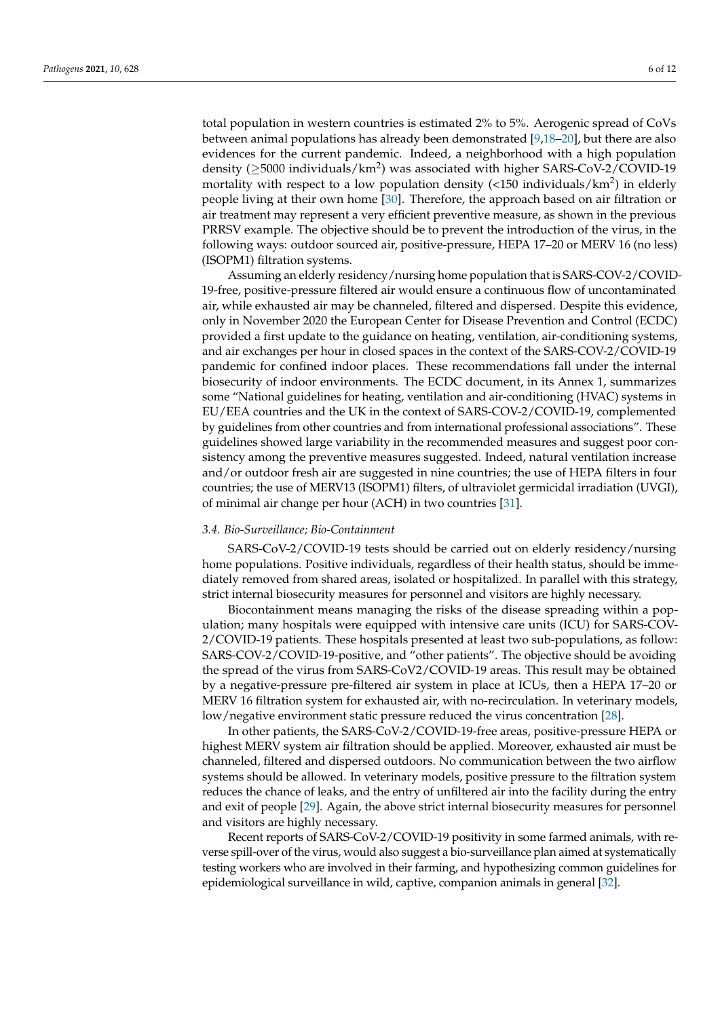total population in western countries is estimated 2% to 5%. Aerogenic spread of CoVs between animal populations has already been demonstrated [\[9](#page-10-7)[,18](#page-10-16)[–20\]](#page-10-18), but there are also evidences for the current pandemic. Indeed, a neighborhood with a high population density ( $\geq$ 5000 individuals/km<sup>2</sup>) was associated with higher SARS-CoV-2/COVID-19 mortality with respect to a low population density (<150 individuals/km<sup>2</sup>) in elderly people living at their own home [\[30\]](#page-10-28). Therefore, the approach based on air filtration or air treatment may represent a very efficient preventive measure, as shown in the previous PRRSV example. The objective should be to prevent the introduction of the virus, in the following ways: outdoor sourced air, positive-pressure, HEPA 17–20 or MERV 16 (no less) (ISOPM1) filtration systems.

Assuming an elderly residency/nursing home population that is SARS-COV-2/COVID-19-free, positive-pressure filtered air would ensure a continuous flow of uncontaminated air, while exhausted air may be channeled, filtered and dispersed. Despite this evidence, only in November 2020 the European Center for Disease Prevention and Control (ECDC) provided a first update to the guidance on heating, ventilation, air-conditioning systems, and air exchanges per hour in closed spaces in the context of the SARS-COV-2/COVID-19 pandemic for confined indoor places. These recommendations fall under the internal biosecurity of indoor environments. The ECDC document, in its Annex 1, summarizes some "National guidelines for heating, ventilation and air-conditioning (HVAC) systems in EU/EEA countries and the UK in the context of SARS-COV-2/COVID-19, complemented by guidelines from other countries and from international professional associations". These guidelines showed large variability in the recommended measures and suggest poor consistency among the preventive measures suggested. Indeed, natural ventilation increase and/or outdoor fresh air are suggested in nine countries; the use of HEPA filters in four countries; the use of MERV13 (ISOPM1) filters, of ultraviolet germicidal irradiation (UVGI), of minimal air change per hour (ACH) in two countries [\[31\]](#page-11-0).

### *3.4. Bio-Surveillance; Bio-Containment*

SARS-CoV-2/COVID-19 tests should be carried out on elderly residency/nursing home populations. Positive individuals, regardless of their health status, should be immediately removed from shared areas, isolated or hospitalized. In parallel with this strategy, strict internal biosecurity measures for personnel and visitors are highly necessary.

Biocontainment means managing the risks of the disease spreading within a population; many hospitals were equipped with intensive care units (ICU) for SARS-COV-2/COVID-19 patients. These hospitals presented at least two sub-populations, as follow: SARS-COV-2/COVID-19-positive, and "other patients". The objective should be avoiding the spread of the virus from SARS-CoV2/COVID-19 areas. This result may be obtained by a negative-pressure pre-filtered air system in place at ICUs, then a HEPA 17–20 or MERV 16 filtration system for exhausted air, with no-recirculation. In veterinary models, low/negative environment static pressure reduced the virus concentration [\[28\]](#page-10-26).

In other patients, the SARS-CoV-2/COVID-19-free areas, positive-pressure HEPA or highest MERV system air filtration should be applied. Moreover, exhausted air must be channeled, filtered and dispersed outdoors. No communication between the two airflow systems should be allowed. In veterinary models, positive pressure to the filtration system reduces the chance of leaks, and the entry of unfiltered air into the facility during the entry and exit of people [\[29\]](#page-10-27). Again, the above strict internal biosecurity measures for personnel and visitors are highly necessary.

Recent reports of SARS-CoV-2/COVID-19 positivity in some farmed animals, with reverse spill-over of the virus, would also suggest a bio-surveillance plan aimed at systematically testing workers who are involved in their farming, and hypothesizing common guidelines for epidemiological surveillance in wild, captive, companion animals in general [\[32\]](#page-11-1).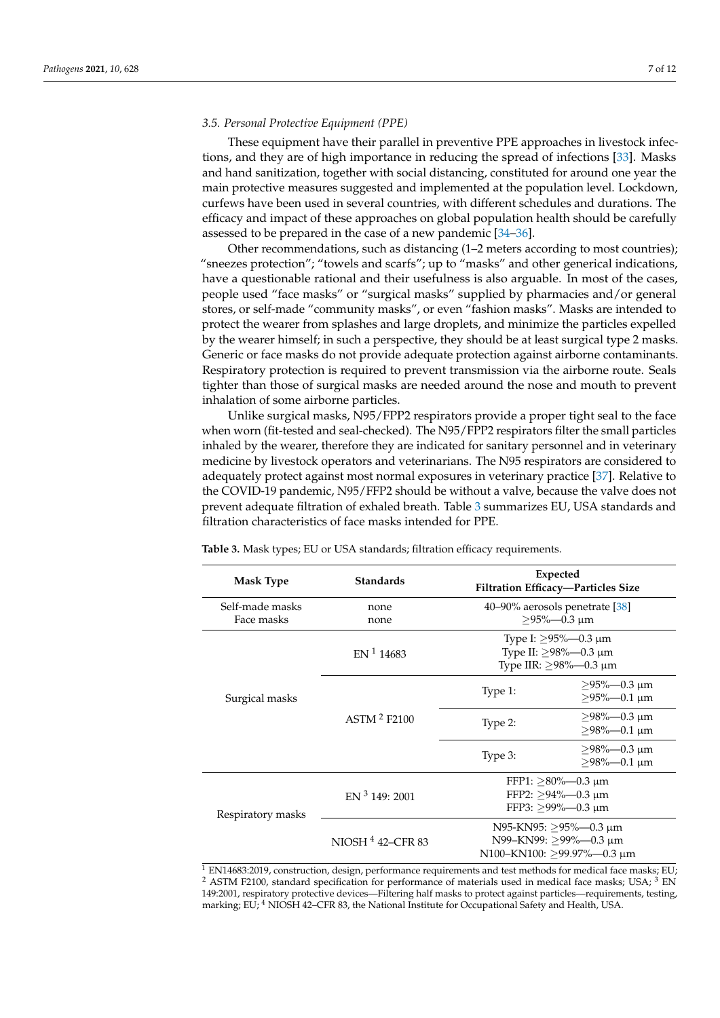# *3.5. Personal Protective Equipment (PPE)*

These equipment have their parallel in preventive PPE approaches in livestock infections, and they are of high importance in reducing the spread of infections [\[33\]](#page-11-2). Masks and hand sanitization, together with social distancing, constituted for around one year the main protective measures suggested and implemented at the population level. Lockdown, curfews have been used in several countries, with different schedules and durations. The efficacy and impact of these approaches on global population health should be carefully assessed to be prepared in the case of a new pandemic [\[34–](#page-11-3)[36\]](#page-11-4).

Other recommendations, such as distancing (1–2 meters according to most countries); "sneezes protection"; "towels and scarfs"; up to "masks" and other generical indications, have a questionable rational and their usefulness is also arguable. In most of the cases, people used "face masks" or "surgical masks" supplied by pharmacies and/or general stores, or self-made "community masks", or even "fashion masks". Masks are intended to protect the wearer from splashes and large droplets, and minimize the particles expelled by the wearer himself; in such a perspective, they should be at least surgical type 2 masks. Generic or face masks do not provide adequate protection against airborne contaminants. Respiratory protection is required to prevent transmission via the airborne route. Seals tighter than those of surgical masks are needed around the nose and mouth to prevent inhalation of some airborne particles.

Unlike surgical masks, N95/FPP2 respirators provide a proper tight seal to the face when worn (fit-tested and seal-checked). The N95/FPP2 respirators filter the small particles inhaled by the wearer, therefore they are indicated for sanitary personnel and in veterinary medicine by livestock operators and veterinarians. The N95 respirators are considered to adequately protect against most normal exposures in veterinary practice [\[37\]](#page-11-5). Relative to the COVID-19 pandemic, N95/FFP2 should be without a valve, because the valve does not prevent adequate filtration of exhaled breath. Table [3](#page-6-0) summarizes EU, USA standards and filtration characteristics of face masks intended for PPE.

| <b>Mask Type</b>              | <b>Standards</b>         | Expected<br>Filtration Efficacy-Particles Size                                   |                                                               |
|-------------------------------|--------------------------|----------------------------------------------------------------------------------|---------------------------------------------------------------|
| Self-made masks<br>Face masks | none<br>none             | 40–90% aerosols penetrate [38]<br>$>95\% - 0.3 \text{ }\mu\text{m}$              |                                                               |
|                               | EN <sup>1</sup> 14683    | Type I: $\geq$ 95%—0.3 µm<br>Type II: $\geq$ 98%—0.3 µm<br>Type IIR: ≥98%—0.3 μm |                                                               |
| Surgical masks                |                          | Type 1:                                                                          | $>95\% - 0.3 \mu m$<br>$>95\% - 0.1 \text{ }\mu\text{m}$      |
|                               | ASTM <sup>2</sup> F2100  | Type 2:                                                                          | $>98\% - 0.3 \text{ µm}$<br>$>98\% - 0.1 \text{ }\mu\text{m}$ |
|                               |                          | Type 3:                                                                          | $>98\% - 0.3 \text{ µm}$<br>$>98\% - 0.1 \text{ }\mu\text{m}$ |
| Respiratory masks             | EN <sup>3</sup> 149:2001 | FFP1: $>80\%$ —0.3 µm<br>FFP2: $>94\%$ —0.3 µm<br>FFP3: $>99\%$ -0.3 µm          |                                                               |
|                               | NIOSH $4$ 42–CFR 83      | N95-KN95: >95%—0.3 µm<br>N99-KN99: >99%-0.3 µm<br>N100-KN100: $>99.97\%$ -0.3 µm |                                                               |

<span id="page-6-0"></span>**Table 3.** Mask types; EU or USA standards; filtration efficacy requirements.

 $\overline{1}$  EN14683:2019, construction, design, performance requirements and test methods for medical face masks; EU; <sup>2</sup> ASTM F2100, standard specification for performance of materials used in medical face masks; USA; <sup>3</sup> EN 149:2001, respiratory protective devices—Filtering half masks to protect against particles—requirements, testing, marking; EU; <sup>4</sup> NIOSH 42-CFR 83, the National Institute for Occupational Safety and Health, USA.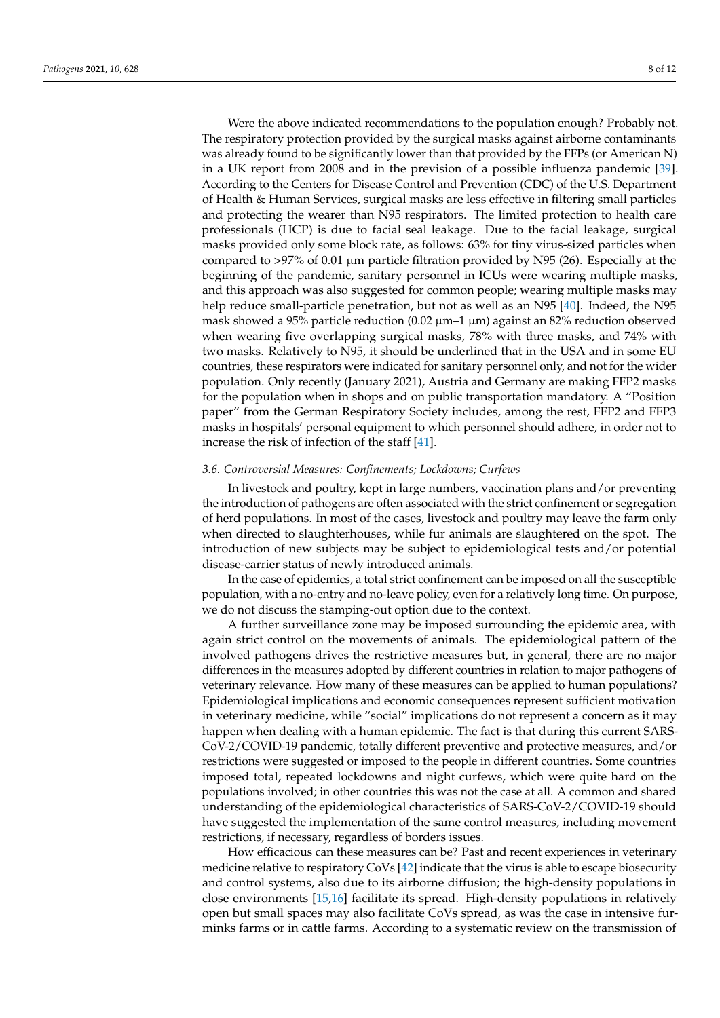Were the above indicated recommendations to the population enough? Probably not. The respiratory protection provided by the surgical masks against airborne contaminants was already found to be significantly lower than that provided by the FFPs (or American N) in a UK report from 2008 and in the prevision of a possible influenza pandemic [\[39\]](#page-11-7). According to the Centers for Disease Control and Prevention (CDC) of the U.S. Department of Health & Human Services, surgical masks are less effective in filtering small particles and protecting the wearer than N95 respirators. The limited protection to health care professionals (HCP) is due to facial seal leakage. Due to the facial leakage, surgical masks provided only some block rate, as follows: 63% for tiny virus-sized particles when compared to  $>97\%$  of 0.01 µm particle filtration provided by N95 (26). Especially at the beginning of the pandemic, sanitary personnel in ICUs were wearing multiple masks, and this approach was also suggested for common people; wearing multiple masks may help reduce small-particle penetration, but not as well as an N95 [\[40\]](#page-11-8). Indeed, the N95 mask showed a 95% particle reduction  $(0.02 \mu m-1 \mu m)$  against an 82% reduction observed when wearing five overlapping surgical masks, 78% with three masks, and 74% with two masks. Relatively to N95, it should be underlined that in the USA and in some EU countries, these respirators were indicated for sanitary personnel only, and not for the wider population. Only recently (January 2021), Austria and Germany are making FFP2 masks for the population when in shops and on public transportation mandatory. A "Position paper" from the German Respiratory Society includes, among the rest, FFP2 and FFP3 masks in hospitals' personal equipment to which personnel should adhere, in order not to increase the risk of infection of the staff [\[41\]](#page-11-9).

# *3.6. Controversial Measures: Confinements; Lockdowns; Curfews*

In livestock and poultry, kept in large numbers, vaccination plans and/or preventing the introduction of pathogens are often associated with the strict confinement or segregation of herd populations. In most of the cases, livestock and poultry may leave the farm only when directed to slaughterhouses, while fur animals are slaughtered on the spot. The introduction of new subjects may be subject to epidemiological tests and/or potential disease-carrier status of newly introduced animals.

In the case of epidemics, a total strict confinement can be imposed on all the susceptible population, with a no-entry and no-leave policy, even for a relatively long time. On purpose, we do not discuss the stamping-out option due to the context.

A further surveillance zone may be imposed surrounding the epidemic area, with again strict control on the movements of animals. The epidemiological pattern of the involved pathogens drives the restrictive measures but, in general, there are no major differences in the measures adopted by different countries in relation to major pathogens of veterinary relevance. How many of these measures can be applied to human populations? Epidemiological implications and economic consequences represent sufficient motivation in veterinary medicine, while "social" implications do not represent a concern as it may happen when dealing with a human epidemic. The fact is that during this current SARS-CoV-2/COVID-19 pandemic, totally different preventive and protective measures, and/or restrictions were suggested or imposed to the people in different countries. Some countries imposed total, repeated lockdowns and night curfews, which were quite hard on the populations involved; in other countries this was not the case at all. A common and shared understanding of the epidemiological characteristics of SARS-CoV-2/COVID-19 should have suggested the implementation of the same control measures, including movement restrictions, if necessary, regardless of borders issues.

How efficacious can these measures can be? Past and recent experiences in veterinary medicine relative to respiratory CoVs [\[42\]](#page-11-10) indicate that the virus is able to escape biosecurity and control systems, also due to its airborne diffusion; the high-density populations in close environments [\[15,](#page-10-13)[16\]](#page-10-14) facilitate its spread. High-density populations in relatively open but small spaces may also facilitate CoVs spread, as was the case in intensive furminks farms or in cattle farms. According to a systematic review on the transmission of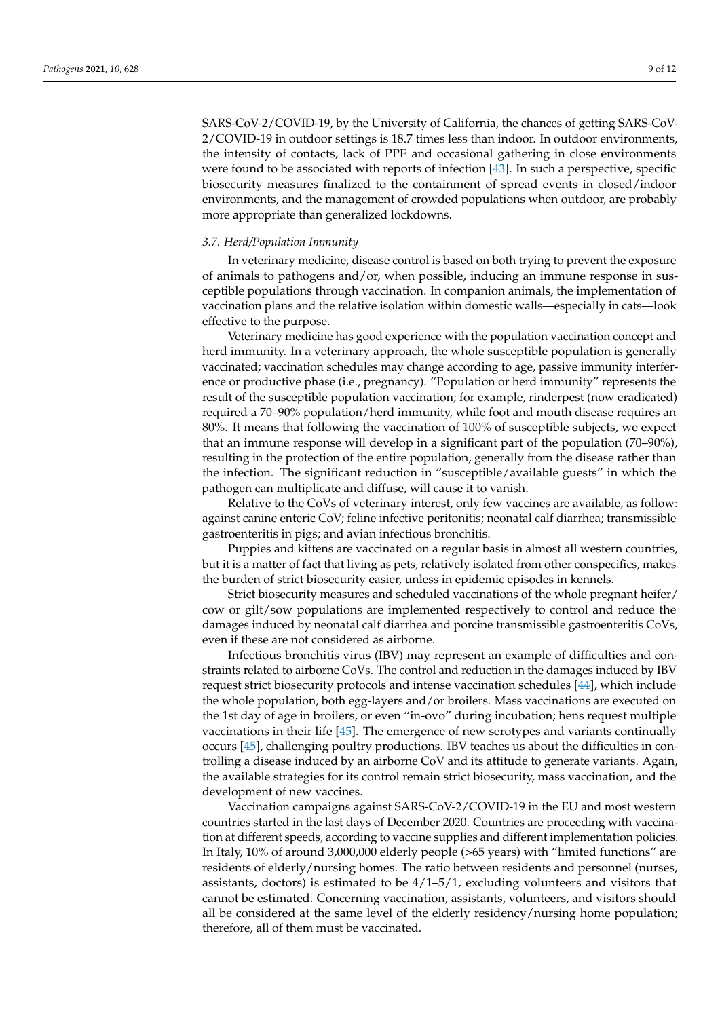SARS-CoV-2/COVID-19, by the University of California, the chances of getting SARS-CoV-2/COVID-19 in outdoor settings is 18.7 times less than indoor. In outdoor environments, the intensity of contacts, lack of PPE and occasional gathering in close environments were found to be associated with reports of infection [\[43\]](#page-11-11). In such a perspective, specific biosecurity measures finalized to the containment of spread events in closed/indoor environments, and the management of crowded populations when outdoor, are probably more appropriate than generalized lockdowns.

#### *3.7. Herd/Population Immunity*

In veterinary medicine, disease control is based on both trying to prevent the exposure of animals to pathogens and/or, when possible, inducing an immune response in susceptible populations through vaccination. In companion animals, the implementation of vaccination plans and the relative isolation within domestic walls—especially in cats—look effective to the purpose.

Veterinary medicine has good experience with the population vaccination concept and herd immunity. In a veterinary approach, the whole susceptible population is generally vaccinated; vaccination schedules may change according to age, passive immunity interference or productive phase (i.e., pregnancy). "Population or herd immunity" represents the result of the susceptible population vaccination; for example, rinderpest (now eradicated) required a 70–90% population/herd immunity, while foot and mouth disease requires an 80%. It means that following the vaccination of 100% of susceptible subjects, we expect that an immune response will develop in a significant part of the population (70–90%), resulting in the protection of the entire population, generally from the disease rather than the infection. The significant reduction in "susceptible/available guests" in which the pathogen can multiplicate and diffuse, will cause it to vanish.

Relative to the CoVs of veterinary interest, only few vaccines are available, as follow: against canine enteric CoV; feline infective peritonitis; neonatal calf diarrhea; transmissible gastroenteritis in pigs; and avian infectious bronchitis.

Puppies and kittens are vaccinated on a regular basis in almost all western countries, but it is a matter of fact that living as pets, relatively isolated from other conspecifics, makes the burden of strict biosecurity easier, unless in epidemic episodes in kennels.

Strict biosecurity measures and scheduled vaccinations of the whole pregnant heifer/ cow or gilt/sow populations are implemented respectively to control and reduce the damages induced by neonatal calf diarrhea and porcine transmissible gastroenteritis CoVs, even if these are not considered as airborne.

Infectious bronchitis virus (IBV) may represent an example of difficulties and constraints related to airborne CoVs. The control and reduction in the damages induced by IBV request strict biosecurity protocols and intense vaccination schedules [\[44\]](#page-11-12), which include the whole population, both egg-layers and/or broilers. Mass vaccinations are executed on the 1st day of age in broilers, or even "in-ovo" during incubation; hens request multiple vaccinations in their life [\[45\]](#page-11-13). The emergence of new serotypes and variants continually occurs [\[45\]](#page-11-13), challenging poultry productions. IBV teaches us about the difficulties in controlling a disease induced by an airborne CoV and its attitude to generate variants. Again, the available strategies for its control remain strict biosecurity, mass vaccination, and the development of new vaccines.

Vaccination campaigns against SARS-CoV-2/COVID-19 in the EU and most western countries started in the last days of December 2020. Countries are proceeding with vaccination at different speeds, according to vaccine supplies and different implementation policies. In Italy, 10% of around 3,000,000 elderly people (>65 years) with "limited functions" are residents of elderly/nursing homes. The ratio between residents and personnel (nurses, assistants, doctors) is estimated to be  $4/1-5/1$ , excluding volunteers and visitors that cannot be estimated. Concerning vaccination, assistants, volunteers, and visitors should all be considered at the same level of the elderly residency/nursing home population; therefore, all of them must be vaccinated.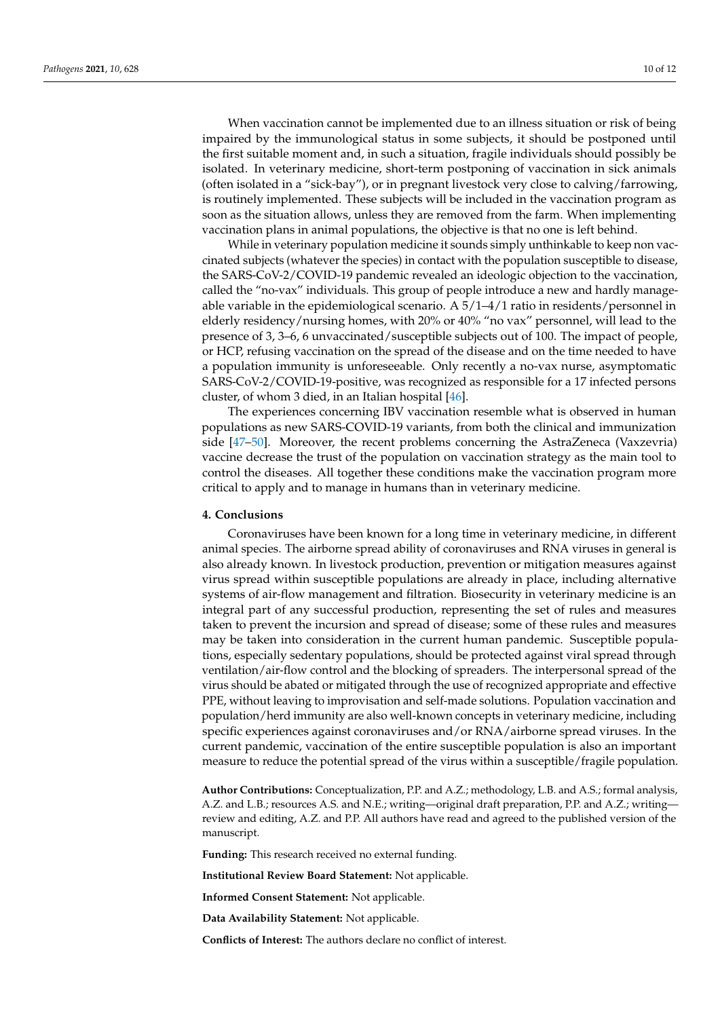When vaccination cannot be implemented due to an illness situation or risk of being impaired by the immunological status in some subjects, it should be postponed until the first suitable moment and, in such a situation, fragile individuals should possibly be isolated. In veterinary medicine, short-term postponing of vaccination in sick animals (often isolated in a "sick-bay"), or in pregnant livestock very close to calving/farrowing, is routinely implemented. These subjects will be included in the vaccination program as soon as the situation allows, unless they are removed from the farm. When implementing vaccination plans in animal populations, the objective is that no one is left behind.

While in veterinary population medicine it sounds simply unthinkable to keep non vaccinated subjects (whatever the species) in contact with the population susceptible to disease, the SARS-CoV-2/COVID-19 pandemic revealed an ideologic objection to the vaccination, called the "no-vax" individuals. This group of people introduce a new and hardly manageable variable in the epidemiological scenario. A 5/1–4/1 ratio in residents/personnel in elderly residency/nursing homes, with 20% or 40% "no vax" personnel, will lead to the presence of 3, 3–6, 6 unvaccinated/susceptible subjects out of 100. The impact of people, or HCP, refusing vaccination on the spread of the disease and on the time needed to have a population immunity is unforeseeable. Only recently a no-vax nurse, asymptomatic SARS-CoV-2/COVID-19-positive, was recognized as responsible for a 17 infected persons cluster, of whom 3 died, in an Italian hospital [\[46\]](#page-11-14).

The experiences concerning IBV vaccination resemble what is observed in human populations as new SARS-COVID-19 variants, from both the clinical and immunization side [\[47–](#page-11-15)[50\]](#page-11-16). Moreover, the recent problems concerning the AstraZeneca (Vaxzevria) vaccine decrease the trust of the population on vaccination strategy as the main tool to control the diseases. All together these conditions make the vaccination program more critical to apply and to manage in humans than in veterinary medicine.

#### **4. Conclusions**

Coronaviruses have been known for a long time in veterinary medicine, in different animal species. The airborne spread ability of coronaviruses and RNA viruses in general is also already known. In livestock production, prevention or mitigation measures against virus spread within susceptible populations are already in place, including alternative systems of air-flow management and filtration. Biosecurity in veterinary medicine is an integral part of any successful production, representing the set of rules and measures taken to prevent the incursion and spread of disease; some of these rules and measures may be taken into consideration in the current human pandemic. Susceptible populations, especially sedentary populations, should be protected against viral spread through ventilation/air-flow control and the blocking of spreaders. The interpersonal spread of the virus should be abated or mitigated through the use of recognized appropriate and effective PPE, without leaving to improvisation and self-made solutions. Population vaccination and population/herd immunity are also well-known concepts in veterinary medicine, including specific experiences against coronaviruses and/or RNA/airborne spread viruses. In the current pandemic, vaccination of the entire susceptible population is also an important measure to reduce the potential spread of the virus within a susceptible/fragile population.

**Author Contributions:** Conceptualization, P.P. and A.Z.; methodology, L.B. and A.S.; formal analysis, A.Z. and L.B.; resources A.S. and N.E.; writing—original draft preparation, P.P. and A.Z.; writing review and editing, A.Z. and P.P. All authors have read and agreed to the published version of the manuscript.

**Funding:** This research received no external funding.

**Institutional Review Board Statement:** Not applicable.

**Informed Consent Statement:** Not applicable.

**Data Availability Statement:** Not applicable.

**Conflicts of Interest:** The authors declare no conflict of interest.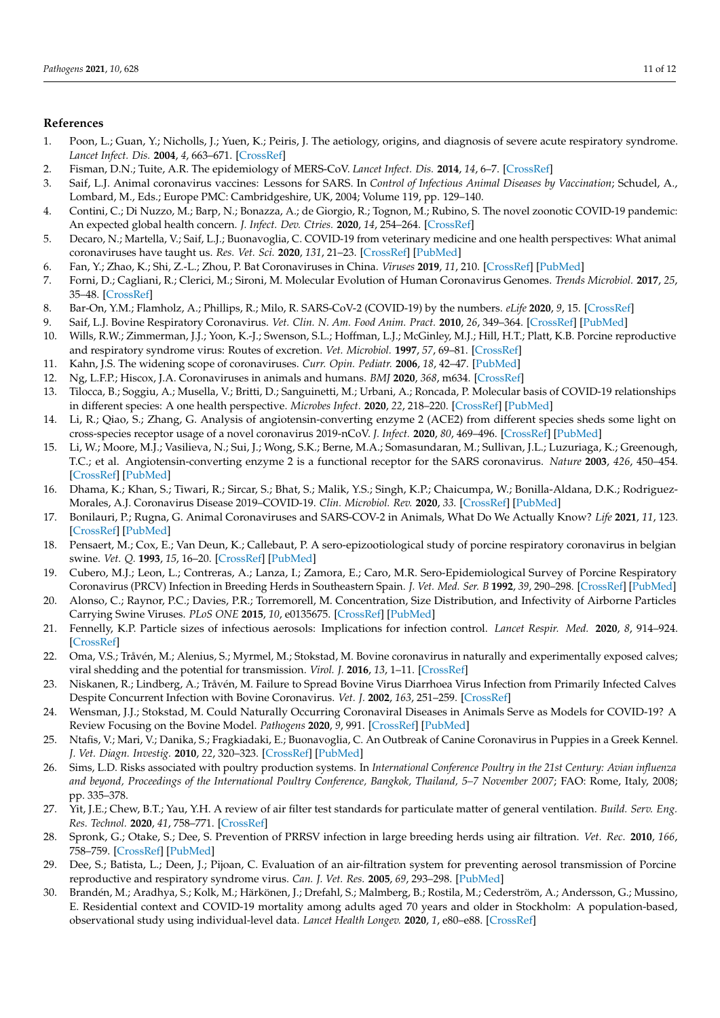# **References**

- <span id="page-10-0"></span>1. Poon, L.; Guan, Y.; Nicholls, J.; Yuen, K.; Peiris, J. The aetiology, origins, and diagnosis of severe acute respiratory syndrome. *Lancet Infect. Dis.* **2004**, *4*, 663–671. [\[CrossRef\]](http://doi.org/10.1016/S1473-3099(04)01172-7)
- <span id="page-10-1"></span>2. Fisman, D.N.; Tuite, A.R. The epidemiology of MERS-CoV. *Lancet Infect. Dis.* **2014**, *14*, 6–7. [\[CrossRef\]](http://doi.org/10.1016/S1473-3099(13)70283-4)
- <span id="page-10-2"></span>3. Saif, L.J. Animal coronavirus vaccines: Lessons for SARS. In *Control of Infectious Animal Diseases by Vaccination*; Schudel, A., Lombard, M., Eds.; Europe PMC: Cambridgeshire, UK, 2004; Volume 119, pp. 129–140.
- 4. Contini, C.; Di Nuzzo, M.; Barp, N.; Bonazza, A.; de Giorgio, R.; Tognon, M.; Rubino, S. The novel zoonotic COVID-19 pandemic: An expected global health concern. *J. Infect. Dev. Ctries.* **2020**, *14*, 254–264. [\[CrossRef\]](http://doi.org/10.3855/jidc.12671)
- <span id="page-10-3"></span>5. Decaro, N.; Martella, V.; Saif, L.J.; Buonavoglia, C. COVID-19 from veterinary medicine and one health perspectives: What animal coronaviruses have taught us. *Res. Vet. Sci.* **2020**, *131*, 21–23. [\[CrossRef\]](http://doi.org/10.1016/j.rvsc.2020.04.009) [\[PubMed\]](http://www.ncbi.nlm.nih.gov/pubmed/32278960)
- <span id="page-10-4"></span>6. Fan, Y.; Zhao, K.; Shi, Z.-L.; Zhou, P. Bat Coronaviruses in China. *Viruses* **2019**, *11*, 210. [\[CrossRef\]](http://doi.org/10.3390/v11030210) [\[PubMed\]](http://www.ncbi.nlm.nih.gov/pubmed/30832341)
- <span id="page-10-5"></span>7. Forni, D.; Cagliani, R.; Clerici, M.; Sironi, M. Molecular Evolution of Human Coronavirus Genomes. *Trends Microbiol.* **2017**, *25*, 35–48. [\[CrossRef\]](http://doi.org/10.1016/j.tim.2016.09.001)
- <span id="page-10-6"></span>8. Bar-On, Y.M.; Flamholz, A.; Phillips, R.; Milo, R. SARS-CoV-2 (COVID-19) by the numbers. *eLife* **2020**, *9*, 15. [\[CrossRef\]](http://doi.org/10.7554/eLife.57309)
- <span id="page-10-7"></span>9. Saif, L.J. Bovine Respiratory Coronavirus. *Vet. Clin. N. Am. Food Anim. Pract.* **2010**, *26*, 349–364. [\[CrossRef\]](http://doi.org/10.1016/j.cvfa.2010.04.005) [\[PubMed\]](http://www.ncbi.nlm.nih.gov/pubmed/20619189)
- <span id="page-10-8"></span>10. Wills, R.W.; Zimmerman, J.J.; Yoon, K.-J.; Swenson, S.L.; Hoffman, L.J.; McGinley, M.J.; Hill, H.T.; Platt, K.B. Porcine reproductive and respiratory syndrome virus: Routes of excretion. *Vet. Microbiol.* **1997**, *57*, 69–81. [\[CrossRef\]](http://doi.org/10.1016/S0378-1135(97)00079-5)
- <span id="page-10-9"></span>11. Kahn, J.S. The widening scope of coronaviruses. *Curr. Opin. Pediatr.* **2006**, *18*, 42–47. [\[PubMed\]](http://www.ncbi.nlm.nih.gov/pubmed/16470161)
- <span id="page-10-10"></span>12. Ng, L.F.P.; Hiscox, J.A. Coronaviruses in animals and humans. *BMJ* **2020**, *368*, m634. [\[CrossRef\]](http://doi.org/10.1136/bmj.m634)
- <span id="page-10-11"></span>13. Tilocca, B.; Soggiu, A.; Musella, V.; Britti, D.; Sanguinetti, M.; Urbani, A.; Roncada, P. Molecular basis of COVID-19 relationships in different species: A one health perspective. *Microbes Infect.* **2020**, *22*, 218–220. [\[CrossRef\]](http://doi.org/10.1016/j.micinf.2020.03.002) [\[PubMed\]](http://www.ncbi.nlm.nih.gov/pubmed/32194253)
- <span id="page-10-12"></span>14. Li, R.; Qiao, S.; Zhang, G. Analysis of angiotensin-converting enzyme 2 (ACE2) from different species sheds some light on cross-species receptor usage of a novel coronavirus 2019-nCoV. *J. Infect.* **2020**, *80*, 469–496. [\[CrossRef\]](http://doi.org/10.1016/j.jinf.2020.02.013) [\[PubMed\]](http://www.ncbi.nlm.nih.gov/pubmed/32113991)
- <span id="page-10-13"></span>15. Li, W.; Moore, M.J.; Vasilieva, N.; Sui, J.; Wong, S.K.; Berne, M.A.; Somasundaran, M.; Sullivan, J.L.; Luzuriaga, K.; Greenough, T.C.; et al. Angiotensin-converting enzyme 2 is a functional receptor for the SARS coronavirus. *Nature* **2003**, *426*, 450–454. [\[CrossRef\]](http://doi.org/10.1038/nature02145) [\[PubMed\]](http://www.ncbi.nlm.nih.gov/pubmed/14647384)
- <span id="page-10-14"></span>16. Dhama, K.; Khan, S.; Tiwari, R.; Sircar, S.; Bhat, S.; Malik, Y.S.; Singh, K.P.; Chaicumpa, W.; Bonilla-Aldana, D.K.; Rodriguez-Morales, A.J. Coronavirus Disease 2019–COVID-19. *Clin. Microbiol. Rev.* **2020**, *33*. [\[CrossRef\]](http://doi.org/10.1128/CMR.00028-20) [\[PubMed\]](http://www.ncbi.nlm.nih.gov/pubmed/32580969)
- <span id="page-10-15"></span>17. Bonilauri, P.; Rugna, G. Animal Coronaviruses and SARS-COV-2 in Animals, What Do We Actually Know? *Life* **2021**, *11*, 123. [\[CrossRef\]](http://doi.org/10.3390/life11020123) [\[PubMed\]](http://www.ncbi.nlm.nih.gov/pubmed/33562645)
- <span id="page-10-16"></span>18. Pensaert, M.; Cox, E.; Van Deun, K.; Callebaut, P. A sero-epizootiological study of porcine respiratory coronavirus in belgian swine. *Vet. Q.* **1993**, *15*, 16–20. [\[CrossRef\]](http://doi.org/10.1080/01652176.1993.9694361) [\[PubMed\]](http://www.ncbi.nlm.nih.gov/pubmed/8388592)
- <span id="page-10-17"></span>19. Cubero, M.J.; Leon, L.; Contreras, A.; Lanza, I.; Zamora, E.; Caro, M.R. Sero-Epidemiological Survey of Porcine Respiratory Coronavirus (PRCV) Infection in Breeding Herds in Southeastern Spain. *J. Vet. Med. Ser. B* **1992**, *39*, 290–298. [\[CrossRef\]](http://doi.org/10.1111/j.1439-0450.1992.tb01171.x) [\[PubMed\]](http://www.ncbi.nlm.nih.gov/pubmed/1325719)
- <span id="page-10-18"></span>20. Alonso, C.; Raynor, P.C.; Davies, P.R.; Torremorell, M. Concentration, Size Distribution, and Infectivity of Airborne Particles Carrying Swine Viruses. *PLoS ONE* **2015**, *10*, e0135675. [\[CrossRef\]](http://doi.org/10.1371/journal.pone.0135675) [\[PubMed\]](http://www.ncbi.nlm.nih.gov/pubmed/26287616)
- <span id="page-10-19"></span>21. Fennelly, K.P. Particle sizes of infectious aerosols: Implications for infection control. *Lancet Respir. Med.* **2020**, *8*, 914–924. [\[CrossRef\]](http://doi.org/10.1016/S2213-2600(20)30323-4)
- <span id="page-10-20"></span>22. Oma, V.S.; Tråvén, M.; Alenius, S.; Myrmel, M.; Stokstad, M. Bovine coronavirus in naturally and experimentally exposed calves; viral shedding and the potential for transmission. *Virol. J.* **2016**, *13*, 1–11. [\[CrossRef\]](http://doi.org/10.1186/s12985-016-0555-x)
- <span id="page-10-21"></span>23. Niskanen, R.; Lindberg, A.; Tråvén, M. Failure to Spread Bovine Virus Diarrhoea Virus Infection from Primarily Infected Calves Despite Concurrent Infection with Bovine Coronavirus. *Vet. J.* **2002**, *163*, 251–259. [\[CrossRef\]](http://doi.org/10.1053/tvjl.2001.0657)
- <span id="page-10-22"></span>24. Wensman, J.J.; Stokstad, M. Could Naturally Occurring Coronaviral Diseases in Animals Serve as Models for COVID-19? A Review Focusing on the Bovine Model. *Pathogens* **2020**, *9*, 991. [\[CrossRef\]](http://doi.org/10.3390/pathogens9120991) [\[PubMed\]](http://www.ncbi.nlm.nih.gov/pubmed/33256111)
- <span id="page-10-23"></span>25. Ntafis, V.; Mari, V.; Danika, S.; Fragkiadaki, E.; Buonavoglia, C. An Outbreak of Canine Coronavirus in Puppies in a Greek Kennel. *J. Vet. Diagn. Investig.* **2010**, *22*, 320–323. [\[CrossRef\]](http://doi.org/10.1177/104063871002200231) [\[PubMed\]](http://www.ncbi.nlm.nih.gov/pubmed/20224103)
- <span id="page-10-24"></span>26. Sims, L.D. Risks associated with poultry production systems. In *International Conference Poultry in the 21st Century: Avian influenza and beyond, Proceedings of the International Poultry Conference, Bangkok, Thailand, 5–7 November 2007*; FAO: Rome, Italy, 2008; pp. 335–378.
- <span id="page-10-25"></span>27. Yit, J.E.; Chew, B.T.; Yau, Y.H. A review of air filter test standards for particulate matter of general ventilation. *Build. Serv. Eng. Res. Technol.* **2020**, *41*, 758–771. [\[CrossRef\]](http://doi.org/10.1177/0143624420915626)
- <span id="page-10-26"></span>28. Spronk, G.; Otake, S.; Dee, S. Prevention of PRRSV infection in large breeding herds using air filtration. *Vet. Rec.* **2010**, *166*, 758–759. [\[CrossRef\]](http://doi.org/10.1136/vr.b4848) [\[PubMed\]](http://www.ncbi.nlm.nih.gov/pubmed/20543168)
- <span id="page-10-27"></span>29. Dee, S.; Batista, L.; Deen, J.; Pijoan, C. Evaluation of an air-filtration system for preventing aerosol transmission of Porcine reproductive and respiratory syndrome virus. *Can. J. Vet. Res.* **2005**, *69*, 293–298. [\[PubMed\]](http://www.ncbi.nlm.nih.gov/pubmed/16479728)
- <span id="page-10-28"></span>30. Brandén, M.; Aradhya, S.; Kolk, M.; Härkönen, J.; Drefahl, S.; Malmberg, B.; Rostila, M.; Cederström, A.; Andersson, G.; Mussino, E. Residential context and COVID-19 mortality among adults aged 70 years and older in Stockholm: A population-based, observational study using individual-level data. *Lancet Health Longev.* **2020**, *1*, e80–e88. [\[CrossRef\]](http://doi.org/10.1016/S2666-7568(20)30016-7)